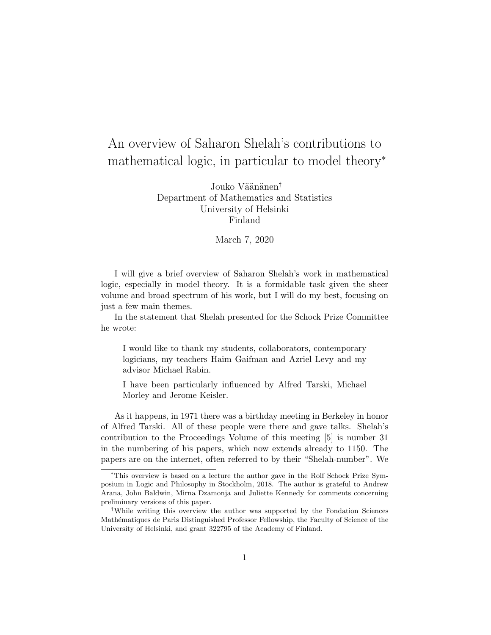# An overview of Saharon Shelah's contributions to mathematical logic, in particular to model theory<sup>∗</sup>

Jouko Väänänen<sup>†</sup> Department of Mathematics and Statistics University of Helsinki Finland

#### March 7, 2020

I will give a brief overview of Saharon Shelah's work in mathematical logic, especially in model theory. It is a formidable task given the sheer volume and broad spectrum of his work, but I will do my best, focusing on just a few main themes.

In the statement that Shelah presented for the Schock Prize Committee he wrote:

I would like to thank my students, collaborators, contemporary logicians, my teachers Haim Gaifman and Azriel Levy and my advisor Michael Rabin.

I have been particularly influenced by Alfred Tarski, Michael Morley and Jerome Keisler.

As it happens, in 1971 there was a birthday meeting in Berkeley in honor of Alfred Tarski. All of these people were there and gave talks. Shelah's contribution to the Proceedings Volume of this meeting [5] is number 31 in the numbering of his papers, which now extends already to 1150. The papers are on the internet, often referred to by their "Shelah-number". We

<sup>∗</sup>This overview is based on a lecture the author gave in the Rolf Schock Prize Symposium in Logic and Philosophy in Stockholm, 2018. The author is grateful to Andrew Arana, John Baldwin, Mirna Dzamonja and Juliette Kennedy for comments concerning preliminary versions of this paper.

<sup>†</sup>While writing this overview the author was supported by the Fondation Sciences Mathématiques de Paris Distinguished Professor Fellowship, the Faculty of Science of the University of Helsinki, and grant 322795 of the Academy of Finland.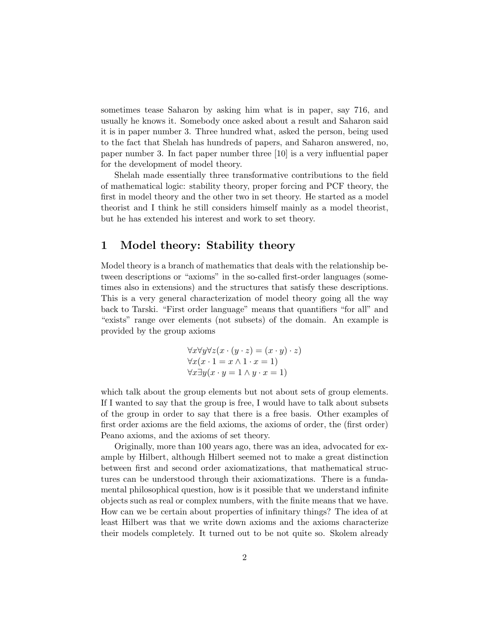sometimes tease Saharon by asking him what is in paper, say 716, and usually he knows it. Somebody once asked about a result and Saharon said it is in paper number 3. Three hundred what, asked the person, being used to the fact that Shelah has hundreds of papers, and Saharon answered, no, paper number 3. In fact paper number three [10] is a very influential paper for the development of model theory.

Shelah made essentially three transformative contributions to the field of mathematical logic: stability theory, proper forcing and PCF theory, the first in model theory and the other two in set theory. He started as a model theorist and I think he still considers himself mainly as a model theorist, but he has extended his interest and work to set theory.

#### 1 Model theory: Stability theory

Model theory is a branch of mathematics that deals with the relationship between descriptions or "axioms" in the so-called first-order languages (sometimes also in extensions) and the structures that satisfy these descriptions. This is a very general characterization of model theory going all the way back to Tarski. "First order language" means that quantifiers "for all" and "exists" range over elements (not subsets) of the domain. An example is provided by the group axioms

$$
\forall x \forall y \forall z (x \cdot (y \cdot z) = (x \cdot y) \cdot z)
$$
  

$$
\forall x (x \cdot 1 = x \land 1 \cdot x = 1)
$$
  

$$
\forall x \exists y (x \cdot y = 1 \land y \cdot x = 1)
$$

which talk about the group elements but not about sets of group elements. If I wanted to say that the group is free, I would have to talk about subsets of the group in order to say that there is a free basis. Other examples of first order axioms are the field axioms, the axioms of order, the (first order) Peano axioms, and the axioms of set theory.

Originally, more than 100 years ago, there was an idea, advocated for example by Hilbert, although Hilbert seemed not to make a great distinction between first and second order axiomatizations, that mathematical structures can be understood through their axiomatizations. There is a fundamental philosophical question, how is it possible that we understand infinite objects such as real or complex numbers, with the finite means that we have. How can we be certain about properties of infinitary things? The idea of at least Hilbert was that we write down axioms and the axioms characterize their models completely. It turned out to be not quite so. Skolem already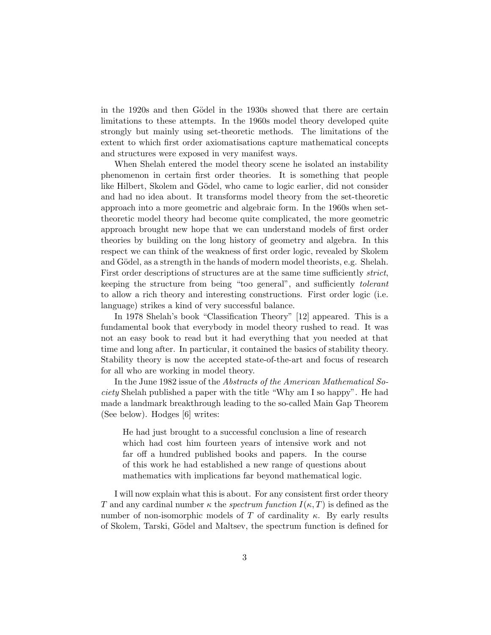in the 1920s and then Gödel in the 1930s showed that there are certain limitations to these attempts. In the 1960s model theory developed quite strongly but mainly using set-theoretic methods. The limitations of the extent to which first order axiomatisations capture mathematical concepts and structures were exposed in very manifest ways.

When Shelah entered the model theory scene he isolated an instability phenomenon in certain first order theories. It is something that people like Hilbert, Skolem and Gödel, who came to logic earlier, did not consider and had no idea about. It transforms model theory from the set-theoretic approach into a more geometric and algebraic form. In the 1960s when settheoretic model theory had become quite complicated, the more geometric approach brought new hope that we can understand models of first order theories by building on the long history of geometry and algebra. In this respect we can think of the weakness of first order logic, revealed by Skolem and Gödel, as a strength in the hands of modern model theorists, e.g. Shelah. First order descriptions of structures are at the same time sufficiently *strict*, keeping the structure from being "too general", and sufficiently tolerant to allow a rich theory and interesting constructions. First order logic (i.e. language) strikes a kind of very successful balance.

In 1978 Shelah's book "Classification Theory" [12] appeared. This is a fundamental book that everybody in model theory rushed to read. It was not an easy book to read but it had everything that you needed at that time and long after. In particular, it contained the basics of stability theory. Stability theory is now the accepted state-of-the-art and focus of research for all who are working in model theory.

In the June 1982 issue of the Abstracts of the American Mathematical Society Shelah published a paper with the title "Why am I so happy". He had made a landmark breakthrough leading to the so-called Main Gap Theorem (See below). Hodges [6] writes:

He had just brought to a successful conclusion a line of research which had cost him fourteen years of intensive work and not far off a hundred published books and papers. In the course of this work he had established a new range of questions about mathematics with implications far beyond mathematical logic.

I will now explain what this is about. For any consistent first order theory T and any cardinal number  $\kappa$  the spectrum function  $I(\kappa, T)$  is defined as the number of non-isomorphic models of T of cardinality  $\kappa$ . By early results of Skolem, Tarski, G¨odel and Maltsev, the spectrum function is defined for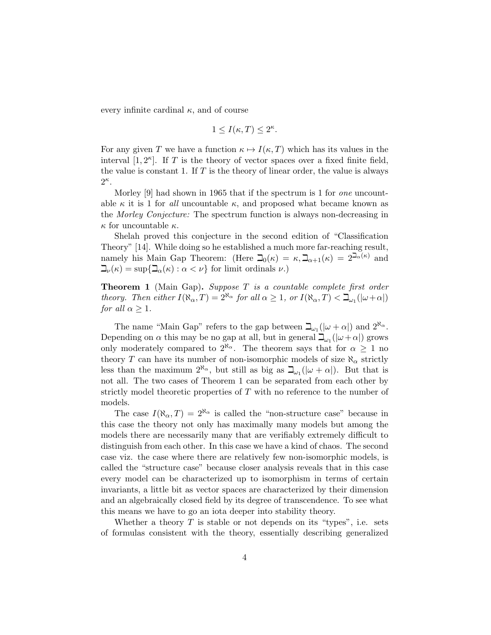every infinite cardinal  $\kappa$ , and of course

$$
1 \le I(\kappa, T) \le 2^{\kappa}.
$$

For any given T we have a function  $\kappa \mapsto I(\kappa, T)$  which has its values in the interval  $[1, 2<sup>\kappa</sup>]$ . If T is the theory of vector spaces over a fixed finite field, the value is constant 1. If  $T$  is the theory of linear order, the value is always  $2^{\kappa}$ .

Morley [9] had shown in 1965 that if the spectrum is 1 for *one* uncountable  $\kappa$  it is 1 for all uncountable  $\kappa$ , and proposed what became known as the Morley Conjecture: The spectrum function is always non-decreasing in  $\kappa$  for uncountable  $\kappa$ .

Shelah proved this conjecture in the second edition of "Classification Theory" [14]. While doing so he established a much more far-reaching result, namely his Main Gap Theorem: (Here  $\beth_0(\kappa) = \kappa, \beth_{\alpha+1}(\kappa) = 2^{\beth_{\alpha}(\kappa)}$  and  $\Box_{\nu}(\kappa) = \sup\{\Box_{\alpha}(\kappa) : \alpha < \nu\}$  for limit ordinals  $\nu$ .)

**Theorem 1** (Main Gap). Suppose  $T$  is a countable complete first order theory. Then either  $I(\aleph_{\alpha},T) = 2^{\aleph_{\alpha}}$  for all  $\alpha \geq 1$ , or  $I(\aleph_{\alpha},T) < \beth_{\omega_1}(|\omega + \alpha|)$ for all  $\alpha \geq 1$ .

The name "Main Gap" refers to the gap between  $\beth_{\omega_1}(|\omega + \alpha|)$  and  $2^{\aleph_{\alpha}}$ . Depending on  $\alpha$  this may be no gap at all, but in general  $\Box_{\omega_1}(|\omega + \alpha|)$  grows only moderately compared to  $2^{\aleph_{\alpha}}$ . The theorem says that for  $\alpha \geq 1$  no theory T can have its number of non-isomorphic models of size  $\aleph_{\alpha}$  strictly less than the maximum  $2^{\aleph_{\alpha}}$ , but still as big as  $\Box_{\omega_1}(|\omega + \alpha|)$ . But that is not all. The two cases of Theorem 1 can be separated from each other by strictly model theoretic properties of T with no reference to the number of models.

The case  $I(\aleph_{\alpha},T) = 2^{\aleph_{\alpha}}$  is called the "non-structure case" because in this case the theory not only has maximally many models but among the models there are necessarily many that are verifiably extremely difficult to distinguish from each other. In this case we have a kind of chaos. The second case viz. the case where there are relatively few non-isomorphic models, is called the "structure case" because closer analysis reveals that in this case every model can be characterized up to isomorphism in terms of certain invariants, a little bit as vector spaces are characterized by their dimension and an algebraically closed field by its degree of transcendence. To see what this means we have to go an iota deeper into stability theory.

Whether a theory  $T$  is stable or not depends on its "types", i.e. sets of formulas consistent with the theory, essentially describing generalized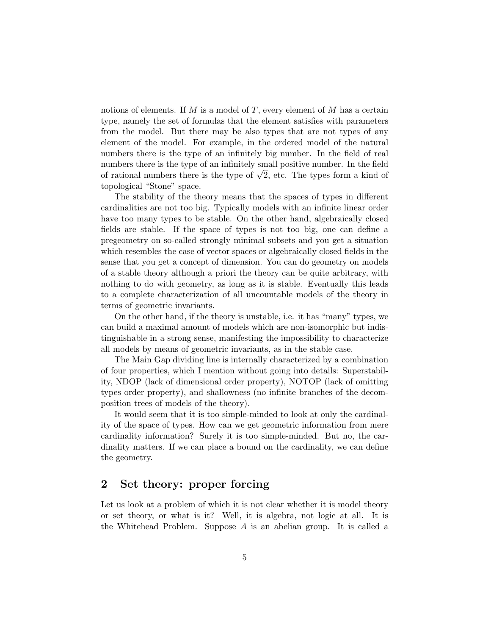notions of elements. If  $M$  is a model of  $T$ , every element of  $M$  has a certain type, namely the set of formulas that the element satisfies with parameters from the model. But there may be also types that are not types of any element of the model. For example, in the ordered model of the natural numbers there is the type of an infinitely big number. In the field of real numbers there is the type of an infinitely small positive number. In the field numbers there is the type of an infinitely small positive number. In the field<br>of rational numbers there is the type of  $\sqrt{2}$ , etc. The types form a kind of topological "Stone" space.

The stability of the theory means that the spaces of types in different cardinalities are not too big. Typically models with an infinite linear order have too many types to be stable. On the other hand, algebraically closed fields are stable. If the space of types is not too big, one can define a pregeometry on so-called strongly minimal subsets and you get a situation which resembles the case of vector spaces or algebraically closed fields in the sense that you get a concept of dimension. You can do geometry on models of a stable theory although a priori the theory can be quite arbitrary, with nothing to do with geometry, as long as it is stable. Eventually this leads to a complete characterization of all uncountable models of the theory in terms of geometric invariants.

On the other hand, if the theory is unstable, i.e. it has "many" types, we can build a maximal amount of models which are non-isomorphic but indistinguishable in a strong sense, manifesting the impossibility to characterize all models by means of geometric invariants, as in the stable case.

The Main Gap dividing line is internally characterized by a combination of four properties, which I mention without going into details: Superstability, NDOP (lack of dimensional order property), NOTOP (lack of omitting types order property), and shallowness (no infinite branches of the decomposition trees of models of the theory).

It would seem that it is too simple-minded to look at only the cardinality of the space of types. How can we get geometric information from mere cardinality information? Surely it is too simple-minded. But no, the cardinality matters. If we can place a bound on the cardinality, we can define the geometry.

### 2 Set theory: proper forcing

Let us look at a problem of which it is not clear whether it is model theory or set theory, or what is it? Well, it is algebra, not logic at all. It is the Whitehead Problem. Suppose  $A$  is an abelian group. It is called a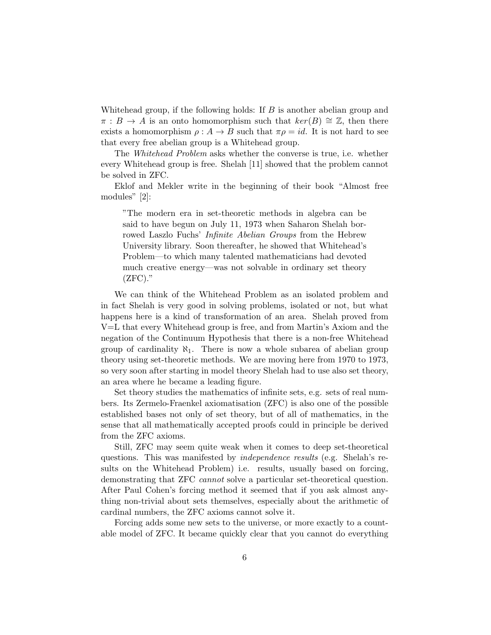Whitehead group, if the following holds: If  $B$  is another abelian group and  $\pi : B \to A$  is an onto homomorphism such that  $\ker(B) \cong \mathbb{Z}$ , then there exists a homomorphism  $\rho: A \to B$  such that  $\pi \rho = id$ . It is not hard to see that every free abelian group is a Whitehead group.

The Whitehead Problem asks whether the converse is true, i.e. whether every Whitehead group is free. Shelah [11] showed that the problem cannot be solved in ZFC.

Eklof and Mekler write in the beginning of their book "Almost free modules" [2]:

"The modern era in set-theoretic methods in algebra can be said to have begun on July 11, 1973 when Saharon Shelah borrowed Laszlo Fuchs' *Infinite Abelian Groups* from the Hebrew University library. Soon thereafter, he showed that Whitehead's Problem—to which many talented mathematicians had devoted much creative energy—was not solvable in ordinary set theory  $(ZFC).$ "

We can think of the Whitehead Problem as an isolated problem and in fact Shelah is very good in solving problems, isolated or not, but what happens here is a kind of transformation of an area. Shelah proved from V=L that every Whitehead group is free, and from Martin's Axiom and the negation of the Continuum Hypothesis that there is a non-free Whitehead group of cardinality  $\aleph_1$ . There is now a whole subarea of abelian group theory using set-theoretic methods. We are moving here from 1970 to 1973, so very soon after starting in model theory Shelah had to use also set theory, an area where he became a leading figure.

Set theory studies the mathematics of infinite sets, e.g. sets of real numbers. Its Zermelo-Fraenkel axiomatisation (ZFC) is also one of the possible established bases not only of set theory, but of all of mathematics, in the sense that all mathematically accepted proofs could in principle be derived from the ZFC axioms.

Still, ZFC may seem quite weak when it comes to deep set-theoretical questions. This was manifested by independence results (e.g. Shelah's results on the Whitehead Problem) i.e. results, usually based on forcing, demonstrating that ZFC cannot solve a particular set-theoretical question. After Paul Cohen's forcing method it seemed that if you ask almost anything non-trivial about sets themselves, especially about the arithmetic of cardinal numbers, the ZFC axioms cannot solve it.

Forcing adds some new sets to the universe, or more exactly to a countable model of ZFC. It became quickly clear that you cannot do everything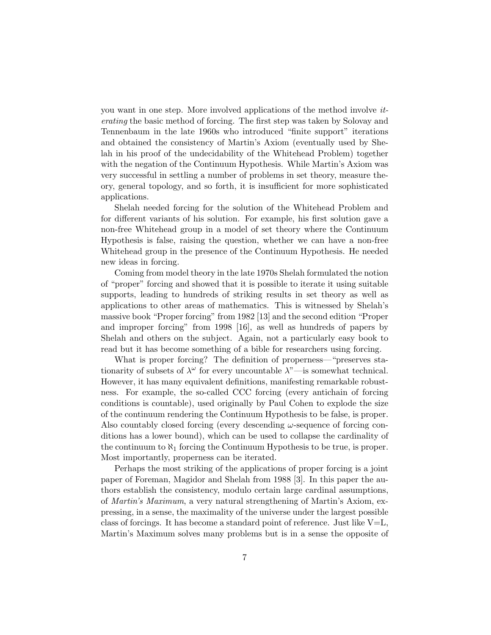you want in one step. More involved applications of the method involve iterating the basic method of forcing. The first step was taken by Solovay and Tennenbaum in the late 1960s who introduced "finite support" iterations and obtained the consistency of Martin's Axiom (eventually used by Shelah in his proof of the undecidability of the Whitehead Problem) together with the negation of the Continuum Hypothesis. While Martin's Axiom was very successful in settling a number of problems in set theory, measure theory, general topology, and so forth, it is insufficient for more sophisticated applications.

Shelah needed forcing for the solution of the Whitehead Problem and for different variants of his solution. For example, his first solution gave a non-free Whitehead group in a model of set theory where the Continuum Hypothesis is false, raising the question, whether we can have a non-free Whitehead group in the presence of the Continuum Hypothesis. He needed new ideas in forcing.

Coming from model theory in the late 1970s Shelah formulated the notion of "proper" forcing and showed that it is possible to iterate it using suitable supports, leading to hundreds of striking results in set theory as well as applications to other areas of mathematics. This is witnessed by Shelah's massive book "Proper forcing" from 1982 [13] and the second edition "Proper and improper forcing" from 1998 [16], as well as hundreds of papers by Shelah and others on the subject. Again, not a particularly easy book to read but it has become something of a bible for researchers using forcing.

What is proper forcing? The definition of properness—"preserves stationarity of subsets of  $\lambda^{\omega}$  for every uncountable  $\lambda^{\omega}$ —is somewhat technical. However, it has many equivalent definitions, manifesting remarkable robustness. For example, the so-called CCC forcing (every antichain of forcing conditions is countable), used originally by Paul Cohen to explode the size of the continuum rendering the Continuum Hypothesis to be false, is proper. Also countably closed forcing (every descending  $\omega$ -sequence of forcing conditions has a lower bound), which can be used to collapse the cardinality of the continuum to  $\aleph_1$  forcing the Continuum Hypothesis to be true, is proper. Most importantly, properness can be iterated.

Perhaps the most striking of the applications of proper forcing is a joint paper of Foreman, Magidor and Shelah from 1988 [3]. In this paper the authors establish the consistency, modulo certain large cardinal assumptions, of Martin's Maximum, a very natural strengthening of Martin's Axiom, expressing, in a sense, the maximality of the universe under the largest possible class of forcings. It has become a standard point of reference. Just like  $V=L$ , Martin's Maximum solves many problems but is in a sense the opposite of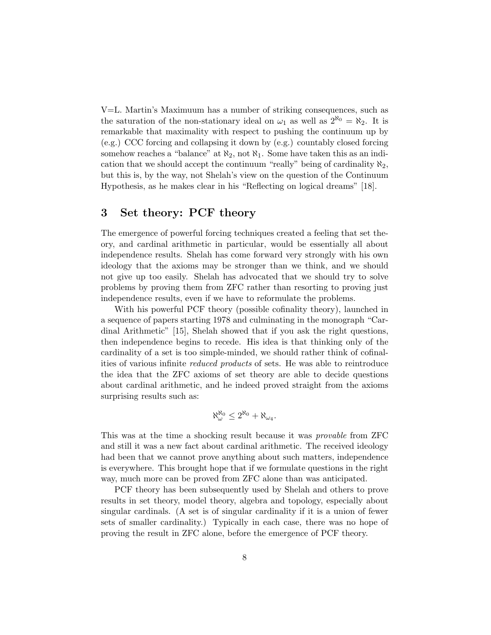V=L. Martin's Maximuum has a number of striking consequences, such as the saturation of the non-stationary ideal on  $\omega_1$  as well as  $2^{\aleph_0} = \aleph_2$ . It is remarkable that maximality with respect to pushing the continuum up by (e.g.) CCC forcing and collapsing it down by (e.g.) countably closed forcing somehow reaches a "balance" at  $\aleph_2$ , not  $\aleph_1$ . Some have taken this as an indication that we should accept the continuum "really" being of cardinality  $\aleph_2$ , but this is, by the way, not Shelah's view on the question of the Continuum Hypothesis, as he makes clear in his "Reflecting on logical dreams" [18].

## 3 Set theory: PCF theory

The emergence of powerful forcing techniques created a feeling that set theory, and cardinal arithmetic in particular, would be essentially all about independence results. Shelah has come forward very strongly with his own ideology that the axioms may be stronger than we think, and we should not give up too easily. Shelah has advocated that we should try to solve problems by proving them from ZFC rather than resorting to proving just independence results, even if we have to reformulate the problems.

With his powerful PCF theory (possible cofinality theory), launched in a sequence of papers starting 1978 and culminating in the monograph "Cardinal Arithmetic" [15], Shelah showed that if you ask the right questions, then independence begins to recede. His idea is that thinking only of the cardinality of a set is too simple-minded, we should rather think of cofinalities of various infinite reduced products of sets. He was able to reintroduce the idea that the ZFC axioms of set theory are able to decide questions about cardinal arithmetic, and he indeed proved straight from the axioms surprising results such as:

$$
\aleph_{\omega}^{\aleph_0} \leq 2^{\aleph_0} + \aleph_{\omega_4}.
$$

This was at the time a shocking result because it was provable from ZFC and still it was a new fact about cardinal arithmetic. The received ideology had been that we cannot prove anything about such matters, independence is everywhere. This brought hope that if we formulate questions in the right way, much more can be proved from ZFC alone than was anticipated.

PCF theory has been subsequently used by Shelah and others to prove results in set theory, model theory, algebra and topology, especially about singular cardinals. (A set is of singular cardinality if it is a union of fewer sets of smaller cardinality.) Typically in each case, there was no hope of proving the result in ZFC alone, before the emergence of PCF theory.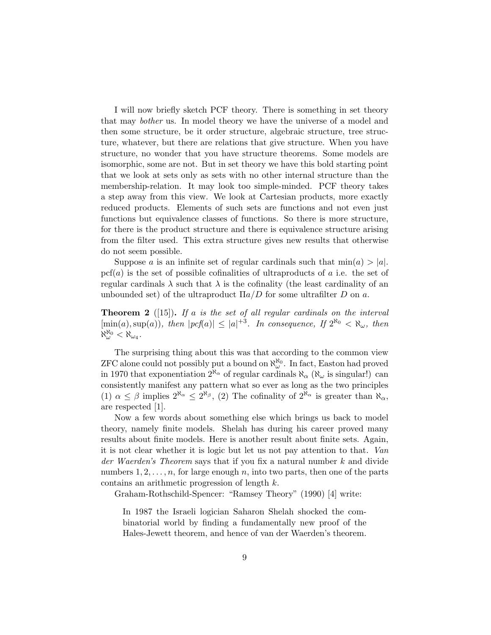I will now briefly sketch PCF theory. There is something in set theory that may bother us. In model theory we have the universe of a model and then some structure, be it order structure, algebraic structure, tree structure, whatever, but there are relations that give structure. When you have structure, no wonder that you have structure theorems. Some models are isomorphic, some are not. But in set theory we have this bold starting point that we look at sets only as sets with no other internal structure than the membership-relation. It may look too simple-minded. PCF theory takes a step away from this view. We look at Cartesian products, more exactly reduced products. Elements of such sets are functions and not even just functions but equivalence classes of functions. So there is more structure, for there is the product structure and there is equivalence structure arising from the filter used. This extra structure gives new results that otherwise do not seem possible.

Suppose a is an infinite set of regular cardinals such that  $\min(a) > |a|$ .  $\text{pcf}(a)$  is the set of possible cofinalities of ultraproducts of a i.e. the set of regular cardinals  $\lambda$  such that  $\lambda$  is the cofinality (the least cardinality of an unbounded set) of the ultraproduct  $\Pi a/D$  for some ultrafilter D on a.

**Theorem 2** ([15]). If a is the set of all regular cardinals on the interval  $[\min(a), \sup(a)),$  then  $|pcf(a)| \leq |a|^{+3}$ . In consequence, If  $2^{\aleph_0} < \aleph_\omega$ , then  $\aleph_{\omega}^{\aleph_0} < \aleph_{\omega_4}$  .

The surprising thing about this was that according to the common view ZFC alone could not possibly put a bound on  $\aleph_{\omega}^{\aleph_0}$ . In fact, Easton had proved in 1970 that exponentiation  $2^{\aleph_{\alpha}}$  of regular cardinals  $\aleph_{\alpha}$  ( $\aleph_{\omega}$  is singular!) can consistently manifest any pattern what so ever as long as the two principles (1)  $\alpha \leq \beta$  implies  $2^{\aleph_{\alpha}} \leq 2^{\aleph_{\beta}}$ , (2) The cofinality of  $2^{\aleph_{\alpha}}$  is greater than  $\aleph_{\alpha}$ , are respected [1].

Now a few words about something else which brings us back to model theory, namely finite models. Shelah has during his career proved many results about finite models. Here is another result about finite sets. Again, it is not clear whether it is logic but let us not pay attention to that. Van der Waerden's Theorem says that if you fix a natural number k and divide numbers  $1, 2, \ldots, n$ , for large enough n, into two parts, then one of the parts contains an arithmetic progression of length k.

Graham-Rothschild-Spencer: "Ramsey Theory" (1990) [4] write:

In 1987 the Israeli logician Saharon Shelah shocked the combinatorial world by finding a fundamentally new proof of the Hales-Jewett theorem, and hence of van der Waerden's theorem.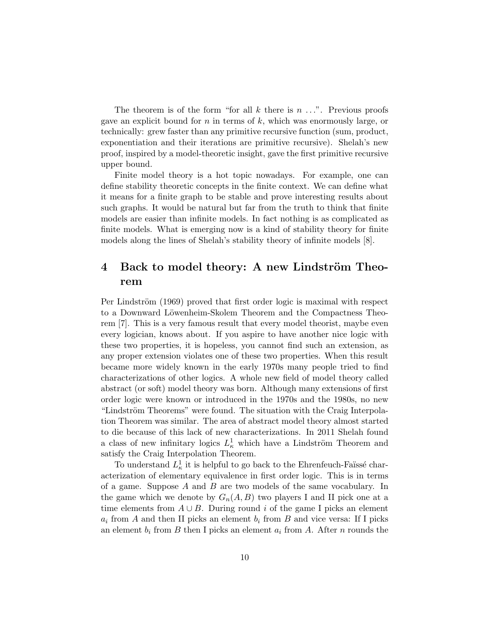The theorem is of the form "for all  $k$  there is  $n \ldots$ ". Previous proofs gave an explicit bound for  $n$  in terms of  $k$ , which was enormously large, or technically: grew faster than any primitive recursive function (sum, product, exponentiation and their iterations are primitive recursive). Shelah's new proof, inspired by a model-theoretic insight, gave the first primitive recursive upper bound.

Finite model theory is a hot topic nowadays. For example, one can define stability theoretic concepts in the finite context. We can define what it means for a finite graph to be stable and prove interesting results about such graphs. It would be natural but far from the truth to think that finite models are easier than infinite models. In fact nothing is as complicated as finite models. What is emerging now is a kind of stability theory for finite models along the lines of Shelah's stability theory of infinite models [8].

# 4 Back to model theory: A new Lindström Theorem

Per Lindström (1969) proved that first order logic is maximal with respect to a Downward Löwenheim-Skolem Theorem and the Compactness Theorem [7]. This is a very famous result that every model theorist, maybe even every logician, knows about. If you aspire to have another nice logic with these two properties, it is hopeless, you cannot find such an extension, as any proper extension violates one of these two properties. When this result became more widely known in the early 1970s many people tried to find characterizations of other logics. A whole new field of model theory called abstract (or soft) model theory was born. Although many extensions of first order logic were known or introduced in the 1970s and the 1980s, no new "Lindström Theorems" were found. The situation with the Craig Interpolation Theorem was similar. The area of abstract model theory almost started to die because of this lack of new characterizations. In 2011 Shelah found a class of new infinitary logics  $L^1_{\kappa}$  which have a Lindström Theorem and satisfy the Craig Interpolation Theorem.

To understand  $L^1_{\kappa}$  it is helpful to go back to the Ehrenfeuch-Faïssé characterization of elementary equivalence in first order logic. This is in terms of a game. Suppose  $A$  and  $B$  are two models of the same vocabulary. In the game which we denote by  $G_n(A, B)$  two players I and II pick one at a time elements from  $A \cup B$ . During round i of the game I picks an element  $a_i$  from A and then II picks an element  $b_i$  from B and vice versa: If I picks an element  $b_i$  from B then I picks an element  $a_i$  from A. After n rounds the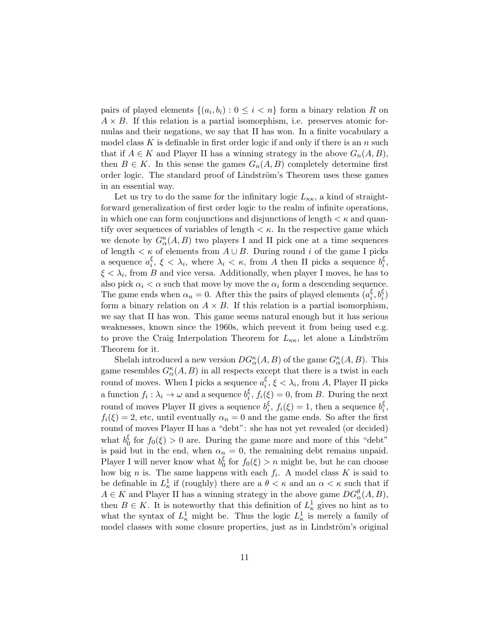pairs of played elements  $\{(a_i, b_i) : 0 \leq i < n\}$  form a binary relation R on  $A \times B$ . If this relation is a partial isomorphism, i.e. preserves atomic formulas and their negations, we say that II has won. In a finite vocabulary a model class K is definable in first order logic if and only if there is an n such that if  $A \in K$  and Player II has a winning strategy in the above  $G_n(A, B)$ , then  $B \in K$ . In this sense the games  $G_n(A, B)$  completely determine first order logic. The standard proof of Lindström's Theorem uses these games in an essential way.

Let us try to do the same for the infinitary logic  $L_{\kappa\kappa}$ , a kind of straightforward generalization of first order logic to the realm of infinite operations, in which one can form conjunctions and disjunctions of length  $\lt \kappa$  and quantify over sequences of variables of length  $\lt \kappa$ . In the respective game which we denote by  $G_{\alpha}^{\kappa}(A, B)$  two players I and II pick one at a time sequences of length <  $\kappa$  of elements from  $A\cup B.$  During round  $i$  of the game I picks a sequence  $a_i^{\xi}$  $\frac{\xi}{i}, \xi < \lambda_i$ , where  $\lambda_i < \kappa$ , from A then II picks a sequence  $b_i^{\xi}$  $\frac{\varsigma}{i}$  ,  $\xi < \lambda_i$ , from B and vice versa. Additionally, when player I moves, he has to also pick  $\alpha_i < \alpha$  such that move by move the  $\alpha_i$  form a descending sequence. The game ends when  $\alpha_n = 0$ . After this the pairs of played elements  $\left( a_i^{\xi} \right)$  $_{i}^{\xi},b_{i}^{\xi})$ form a binary relation on  $A \times B$ . If this relation is a partial isomorphism, we say that II has won. This game seems natural enough but it has serious weaknesses, known since the 1960s, which prevent it from being used e.g. to prove the Craig Interpolation Theorem for  $L_{\kappa\kappa}$ , let alone a Lindström Theorem for it.

Shelah introduced a new version  $DG_{\alpha}^{\kappa}(A, B)$  of the game  $G_{\alpha}^{\kappa}(A, B)$ . This game resembles  $G^{\kappa}_{\alpha}(A, B)$  in all respects except that there is a twist in each round of moves. When I picks a sequence  $a_i^{\xi}$  $\zeta_i, \xi < \lambda_i$ , from A, Player II picks a function  $f_i: \lambda_i \to \omega$  and a sequence  $b_i^{\xi}$  $i, f_i(\xi) = 0$ , from B. During the next round of moves Player II gives a sequence  $b_i^{\xi}$  $i, f_i(\xi) = 1$ , then a sequence  $b_i^{\xi}$  $\frac{\xi}{i}$ ,  $f_i(\xi) = 2$ , etc, until eventually  $\alpha_n = 0$  and the game ends. So after the first round of moves Player II has a "debt": she has not yet revealed (or decided) what  $b_0^{\xi}$  $\zeta_0$  for  $f_0(\xi) > 0$  are. During the game more and more of this "debt" is paid but in the end, when  $\alpha_n = 0$ , the remaining debt remains unpaid. Player I will never know what  $b_0^{\xi}$  $\zeta_0$  for  $f_0(\xi) > n$  might be, but he can choose how big *n* is. The same happens with each  $f_i$ . A model class K is said to be definable in  $L^1_{\kappa}$  if (roughly) there are a  $\theta < \kappa$  and an  $\alpha < \kappa$  such that if  $A \in K$  and Player II has a winning strategy in the above game  $DG_{\alpha}^{\theta}(A, B)$ , then  $B \in K$ . It is noteworthy that this definition of  $L^1_{\kappa}$  gives no hint as to what the syntax of  $L^1_{\kappa}$  might be. Thus the logic  $L^1_{\kappa}$  is merely a family of model classes with some closure properties, just as in Lindström's original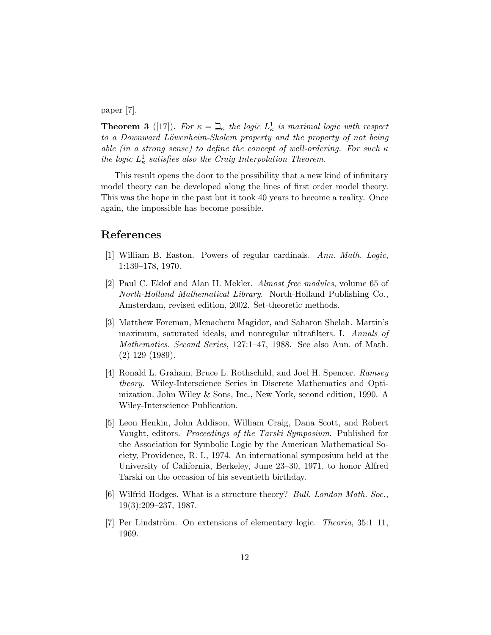paper [7].

**Theorem 3** ([17]). For  $\kappa = \mathbb{L}_{\kappa}$  the logic  $L_{\kappa}^1$  is maximal logic with respect to a Downward Löwenheim-Skolem property and the property of not being able (in a strong sense) to define the concept of well-ordering. For such κ the logic  $L^1_{\kappa}$  satisfies also the Craig Interpolation Theorem.

This result opens the door to the possibility that a new kind of infinitary model theory can be developed along the lines of first order model theory. This was the hope in the past but it took 40 years to become a reality. Once again, the impossible has become possible.

#### References

- [1] William B. Easton. Powers of regular cardinals. Ann. Math. Logic, 1:139–178, 1970.
- [2] Paul C. Eklof and Alan H. Mekler. Almost free modules, volume 65 of North-Holland Mathematical Library. North-Holland Publishing Co., Amsterdam, revised edition, 2002. Set-theoretic methods.
- [3] Matthew Foreman, Menachem Magidor, and Saharon Shelah. Martin's maximum, saturated ideals, and nonregular ultrafilters. I. Annals of Mathematics. Second Series, 127:1–47, 1988. See also Ann. of Math. (2) 129 (1989).
- [4] Ronald L. Graham, Bruce L. Rothschild, and Joel H. Spencer. Ramsey theory. Wiley-Interscience Series in Discrete Mathematics and Optimization. John Wiley & Sons, Inc., New York, second edition, 1990. A Wiley-Interscience Publication.
- [5] Leon Henkin, John Addison, William Craig, Dana Scott, and Robert Vaught, editors. Proceedings of the Tarski Symposium. Published for the Association for Symbolic Logic by the American Mathematical Society, Providence, R. I., 1974. An international symposium held at the University of California, Berkeley, June 23–30, 1971, to honor Alfred Tarski on the occasion of his seventieth birthday.
- [6] Wilfrid Hodges. What is a structure theory? Bull. London Math. Soc., 19(3):209–237, 1987.
- [7] Per Lindström. On extensions of elementary logic. Theoria, 35:1–11, 1969.